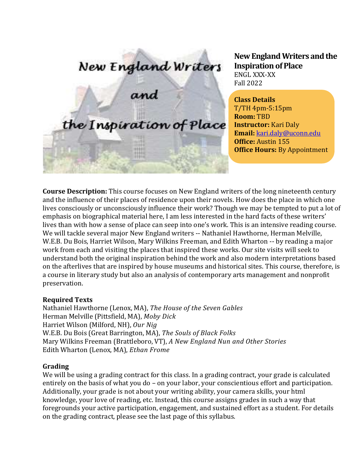# New England Writers<br>and

the Inspiration of Place

**New England Writers and the Inspiration of Place** ENGL XXX-XX Fall 2022

**Class Details** T/TH 4pm-5:15pm **Room:** TBD **Instructor:** Kari Daly **Email:** [kari.daly@uconn.edu](mailto:kari.daly@uconn.edu) **Office:** Austin 155 **Office Hours:** By Appointment

**Course Description:** This course focuses on New England writers of the long nineteenth century and the influence of their places of residence upon their novels. How does the place in which one lives consciously or unconsciously influence their work? Though we may be tempted to put a lot of emphasis on biographical material here, I am less interested in the hard facts of these writers' lives than with how a sense of place can seep into one's work. This is an intensive reading course. We will tackle several major New England writers -- Nathaniel Hawthorne, Herman Melville, W.E.B. Du Bois, Harriet Wilson, Mary Wilkins Freeman, and Edith Wharton -- by reading a major work from each and visiting the places that inspired these works. Our site visits will seek to understand both the original inspiration behind the work and also modern interpretations based on the afterlives that are inspired by house museums and historical sites. This course, therefore, is a course in literary study but also an analysis of contemporary arts management and nonprofit preservation.

#### **Required Texts**

Nathaniel Hawthorne (Lenox, MA), *The House of the Seven Gables* Herman Melville (Pittsfield, MA), *Moby Dick* Harriet Wilson (Milford, NH), *Our Nig* W.E.B. Du Bois (Great Barrington, MA), *The Souls of Black Folks* Mary Wilkins Freeman (Brattleboro, VT), *A New England Nun and Other Stories* Edith Wharton (Lenox, MA), *Ethan Frome*

#### **Grading**

We will be using a grading contract for this class. In a grading contract, your grade is calculated entirely on the basis of what you do – on your labor, your conscientious effort and participation. Additionally, your grade is not about your writing ability, your camera skills, your html knowledge, your love of reading, etc. Instead, this course assigns grades in such a way that foregrounds your active participation, engagement, and sustained effort as a student. For details on the grading contract, please see the last page of this syllabus.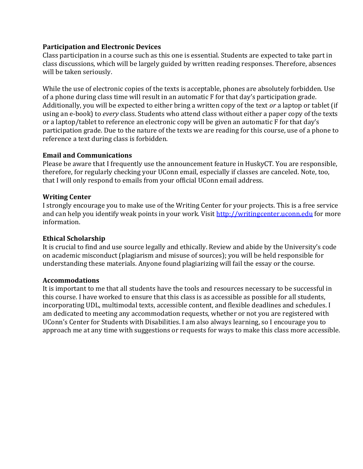#### **Participation and Electronic Devices**

Class participation in a course such as this one is essential. Students are expected to take part in class discussions, which will be largely guided by written reading responses. Therefore, absences will be taken seriously.

While the use of electronic copies of the texts is acceptable, phones are absolutely forbidden. Use of a phone during class time will result in an automatic F for that day's participation grade. Additionally, you will be expected to either bring a written copy of the text *or* a laptop or tablet (if using an e-book) to *every* class. Students who attend class without either a paper copy of the texts or a laptop/tablet to reference an electronic copy will be given an automatic F for that day's participation grade. Due to the nature of the texts we are reading for this course, use of a phone to reference a text during class is forbidden.

### **Email and Communications**

Please be aware that I frequently use the announcement feature in HuskyCT. You are responsible, therefore, for regularly checking your UConn email, especially if classes are canceled. Note, too, that I will only respond to emails from your official UConn email address.

### **Writing Center**

I strongly encourage you to make use of the Writing Center for your projects. This is a free service and can help you identify weak points in your work. Visit [http://writingcenter.uconn.edu](http://writingcenter.uconn.edu/) for more information.

#### **Ethical Scholarship**

It is crucial to find and use source legally and ethically. Review and abide by the University's code on academic misconduct (plagiarism and misuse of sources); you will be held responsible for understanding these materials. Anyone found plagiarizing will fail the essay or the course.

#### **Accommodations**

It is important to me that all students have the tools and resources necessary to be successful in this course. I have worked to ensure that this class is as accessible as possible for all students, incorporating UDL, multimodal texts, accessible content, and flexible deadlines and schedules. I am dedicated to meeting any accommodation requests, whether or not you are registered with UConn's Center for Students with Disabilities. I am also always learning, so I encourage you to approach me at any time with suggestions or requests for ways to make this class more accessible.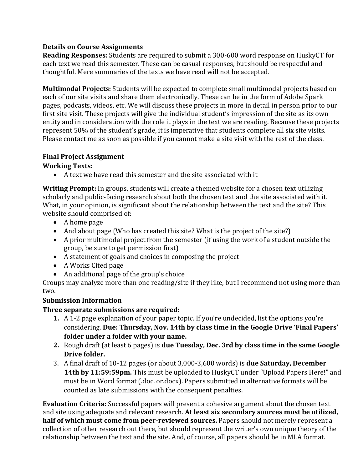# **Details on Course Assignments**

**Reading Responses:** Students are required to submit a 300-600 word response on HuskyCT for each text we read this semester. These can be casual responses, but should be respectful and thoughtful. Mere summaries of the texts we have read will not be accepted.

**Multimodal Projects:** Students will be expected to complete small multimodal projects based on each of our site visits and share them electronically. These can be in the form of Adobe Spark pages, podcasts, videos, etc. We will discuss these projects in more in detail in person prior to our first site visit. These projects will give the individual student's impression of the site as its own entity and in consideration with the role it plays in the text we are reading. Because these projects represent 50% of the student's grade, it is imperative that students complete all six site visits. Please contact me as soon as possible if you cannot make a site visit with the rest of the class.

# **Final Project Assignment**

# **Working Texts:**

• A text we have read this semester and the site associated with it

**Writing Prompt:** In groups, students will create a themed website for a chosen text utilizing scholarly and public-facing research about both the chosen text and the site associated with it. What, in your opinion, is significant about the relationship between the text and the site? This website should comprised of:

- A home page
- And about page (Who has created this site? What is the project of the site?)
- A prior multimodal project from the semester (if using the work of a student outside the group, be sure to get permission first)
- A statement of goals and choices in composing the project
- A Works Cited page
- An additional page of the group's choice

Groups may analyze more than one reading/site if they like, but I recommend not using more than two.

# **Submission Information**

# **Three separate submissions are required:**

- **1.** A 1-2 page explanation of your paper topic. If you're undecided, list the options you're considering. **Due: Thursday, Nov. 14th by class time in the Google Drive 'Final Papers' folder under a folder with your name.**
- **2.** Rough draft (at least 6 pages) is **due Tuesday, Dec. 3rd by class time in the same Google Drive folder.**
- 3. A final draft of 10-12 pages (or about 3,000-3,600 words) is **due Saturday, December 14th by 11:59:59pm.** This must be uploaded to HuskyCT under "Upload Papers Here!" and must be in Word format (.doc. or.docx). Papers submitted in alternative formats will be counted as late submissions with the consequent penalties.

**Evaluation Criteria:** Successful papers will present a cohesive argument about the chosen text and site using adequate and relevant research. **At least six secondary sources must be utilized, half of which must come from peer-reviewed sources.** Papers should not merely represent a collection of other research out there, but should represent the writer's own unique theory of the relationship between the text and the site. And, of course, all papers should be in MLA format.